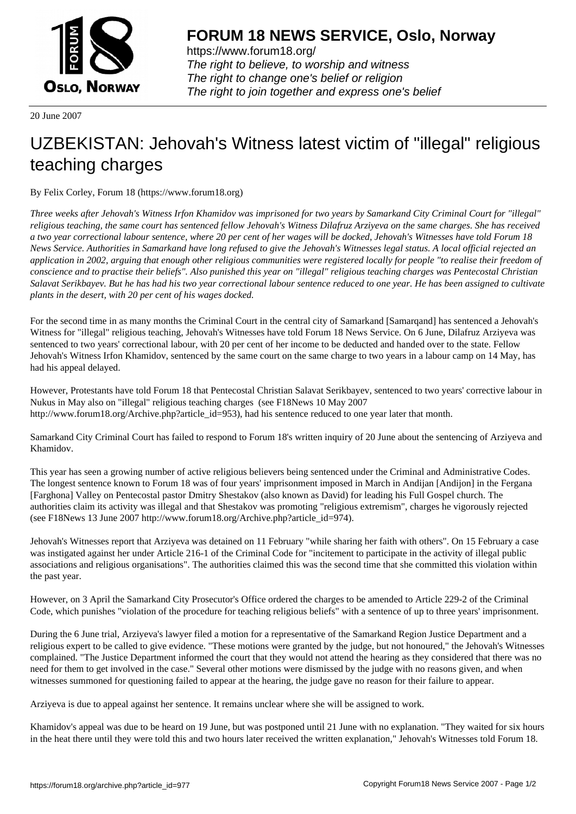

https://www.forum18.org/ The right to believe, to worship and witness The right to change one's belief or religion [The right to join together a](https://www.forum18.org/)nd express one's belief

20 June 2007

## [UZBEKISTAN:](https://www.forum18.org) Jehovah's Witness latest victim of "illegal" religious teaching charges

By Felix Corley, Forum 18 (https://www.forum18.org)

*Three weeks after Jehovah's Witness Irfon Khamidov was imprisoned for two years by Samarkand City Criminal Court for "illegal" religious teaching, the same court has sentenced fellow Jehovah's Witness Dilafruz Arziyeva on the same charges. She has received a two year correctional labour sentence, where 20 per cent of her wages will be docked, Jehovah's Witnesses have told Forum 18 News Service. Authorities in Samarkand have long refused to give the Jehovah's Witnesses legal status. A local official rejected an application in 2002, arguing that enough other religious communities were registered locally for people "to realise their freedom of conscience and to practise their beliefs". Also punished this year on "illegal" religious teaching charges was Pentecostal Christian Salavat Serikbayev. But he has had his two year correctional labour sentence reduced to one year. He has been assigned to cultivate plants in the desert, with 20 per cent of his wages docked.*

For the second time in as many months the Criminal Court in the central city of Samarkand [Samarqand] has sentenced a Jehovah's Witness for "illegal" religious teaching, Jehovah's Witnesses have told Forum 18 News Service. On 6 June, Dilafruz Arziyeva was sentenced to two years' correctional labour, with 20 per cent of her income to be deducted and handed over to the state. Fellow Jehovah's Witness Irfon Khamidov, sentenced by the same court on the same charge to two years in a labour camp on 14 May, has had his appeal delayed.

However, Protestants have told Forum 18 that Pentecostal Christian Salavat Serikbayev, sentenced to two years' corrective labour in Nukus in May also on "illegal" religious teaching charges (see F18News 10 May 2007 http://www.forum18.org/Archive.php?article\_id=953), had his sentence reduced to one year later that month.

Samarkand City Criminal Court has failed to respond to Forum 18's written inquiry of 20 June about the sentencing of Arziyeva and Khamidov.

This year has seen a growing number of active religious believers being sentenced under the Criminal and Administrative Codes. The longest sentence known to Forum 18 was of four years' imprisonment imposed in March in Andijan [Andijon] in the Fergana [Farghona] Valley on Pentecostal pastor Dmitry Shestakov (also known as David) for leading his Full Gospel church. The authorities claim its activity was illegal and that Shestakov was promoting "religious extremism", charges he vigorously rejected (see F18News 13 June 2007 http://www.forum18.org/Archive.php?article\_id=974).

Jehovah's Witnesses report that Arziyeva was detained on 11 February "while sharing her faith with others". On 15 February a case was instigated against her under Article 216-1 of the Criminal Code for "incitement to participate in the activity of illegal public associations and religious organisations". The authorities claimed this was the second time that she committed this violation within the past year.

However, on 3 April the Samarkand City Prosecutor's Office ordered the charges to be amended to Article 229-2 of the Criminal Code, which punishes "violation of the procedure for teaching religious beliefs" with a sentence of up to three years' imprisonment.

During the 6 June trial, Arziyeva's lawyer filed a motion for a representative of the Samarkand Region Justice Department and a religious expert to be called to give evidence. "These motions were granted by the judge, but not honoured," the Jehovah's Witnesses complained. "The Justice Department informed the court that they would not attend the hearing as they considered that there was no need for them to get involved in the case." Several other motions were dismissed by the judge with no reasons given, and when witnesses summoned for questioning failed to appear at the hearing, the judge gave no reason for their failure to appear.

Arziyeva is due to appeal against her sentence. It remains unclear where she will be assigned to work.

Khamidov's appeal was due to be heard on 19 June, but was postponed until 21 June with no explanation. "They waited for six hours in the heat there until they were told this and two hours later received the written explanation," Jehovah's Witnesses told Forum 18.